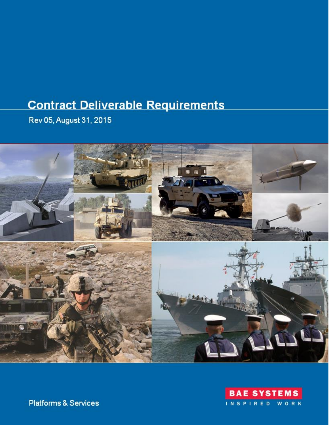# **Contract Deliverable Requirements**

Rev 05, August 31, 2015





**Platforms & Services**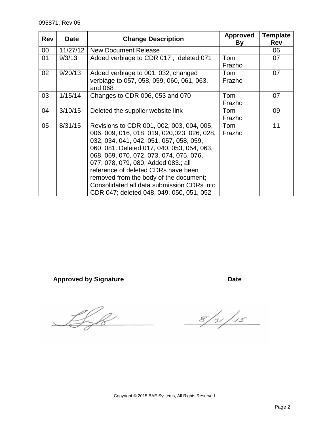| <b>Rev</b> | <b>Date</b> | <b>Change Description</b>                                                                                                                                                                                                                                                                                                                                                                                                                      | <b>Approved</b><br>By | <b>Template</b><br><b>Rev</b> |
|------------|-------------|------------------------------------------------------------------------------------------------------------------------------------------------------------------------------------------------------------------------------------------------------------------------------------------------------------------------------------------------------------------------------------------------------------------------------------------------|-----------------------|-------------------------------|
| $00\,$     | 11/27/12    | <b>New Document Release</b>                                                                                                                                                                                                                                                                                                                                                                                                                    |                       | 06                            |
| 01         | 9/3/13      | Added verbiage to CDR 017, deleted 071                                                                                                                                                                                                                                                                                                                                                                                                         | Tom<br>Frazho         | 07                            |
| 02         | 9/20/13     | Added verbiage to 001, 032, changed<br>verbiage to 057, 058, 059, 060, 061, 063,<br>and 068                                                                                                                                                                                                                                                                                                                                                    | Tom<br>Frazho         | 07                            |
| 03         | 1/15/14     | Changes to CDR 006, 053 and 070                                                                                                                                                                                                                                                                                                                                                                                                                | Tom<br>Frazho         | 07                            |
| 04         | 3/10/15     | Deleted the supplier website link                                                                                                                                                                                                                                                                                                                                                                                                              | Tom<br>Frazho         | 09                            |
| 05         | 8/31/15     | Revisions to CDR 001, 002, 003, 004, 005,<br>006, 009, 016, 018, 019, 020,023, 026, 028,<br>032, 034, 041, 042, 051, 057, 058, 059,<br>060, 081. Deleted 017, 040, 053, 054, 063,<br>068, 069, 070, 072, 073, 074, 075, 076,<br>077, 078, 079, 080. Added 083.; all<br>reference of deleted CDRs have been<br>removed from the body of the document;<br>Consolidated all data submission CDRs into<br>CDR 047; deleted 048, 049, 050, 051, 052 | Tom<br>Frazho         | 11                            |

Approved by Signature **Date** Date

Lyk

 $8/31/15$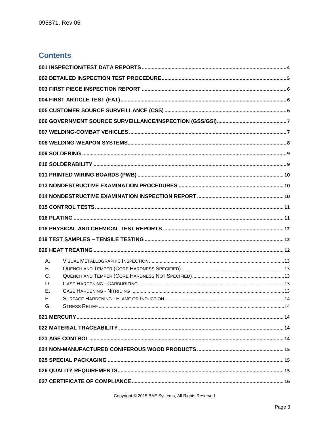## **Contents**

| А. |  |
|----|--|
| В. |  |
| C. |  |
| D. |  |
| Е. |  |
| F. |  |
| G. |  |
|    |  |
|    |  |
|    |  |
|    |  |
|    |  |
|    |  |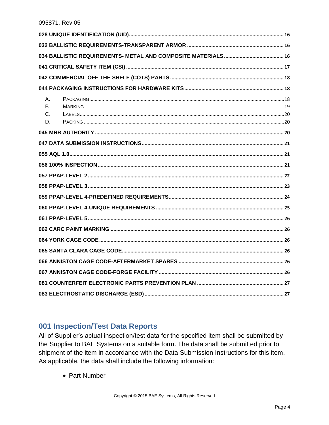| Α. |  |
|----|--|
| В. |  |
| C. |  |
| D. |  |
|    |  |
|    |  |
|    |  |
|    |  |
|    |  |
|    |  |
|    |  |
|    |  |
|    |  |
|    |  |
|    |  |
|    |  |
|    |  |
|    |  |
|    |  |
|    |  |

#### <span id="page-3-0"></span>001 Inspection/Test Data Reports

All of Supplier's actual inspection/test data for the specified item shall be submitted by the Supplier to BAE Systems on a suitable form. The data shall be submitted prior to shipment of the item in accordance with the Data Submission Instructions for this item. As applicable, the data shall include the following information:

• Part Number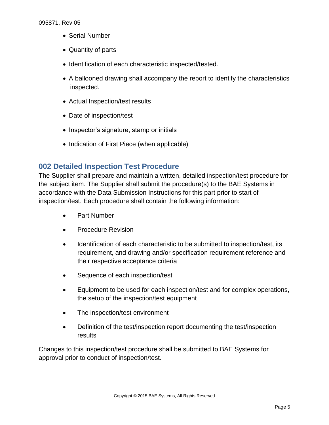- Serial Number
- Quantity of parts
- Identification of each characteristic inspected/tested.
- A ballooned drawing shall accompany the report to identify the characteristics inspected.
- Actual Inspection/test results
- Date of inspection/test
- Inspector's signature, stamp or initials
- Indication of First Piece (when applicable)

#### <span id="page-4-0"></span>**002 Detailed Inspection Test Procedure**

The Supplier shall prepare and maintain a written, detailed inspection/test procedure for the subject item. The Supplier shall submit the procedure(s) to the BAE Systems in accordance with the Data Submission Instructions for this part prior to start of inspection/test. Each procedure shall contain the following information:

- Part Number
- Procedure Revision
- Identification of each characteristic to be submitted to inspection/test, its requirement, and drawing and/or specification requirement reference and their respective acceptance criteria
- Sequence of each inspection/test
- Equipment to be used for each inspection/test and for complex operations, the setup of the inspection/test equipment
- The inspection/test environment
- Definition of the test/inspection report documenting the test/inspection results

Changes to this inspection/test procedure shall be submitted to BAE Systems for approval prior to conduct of inspection/test.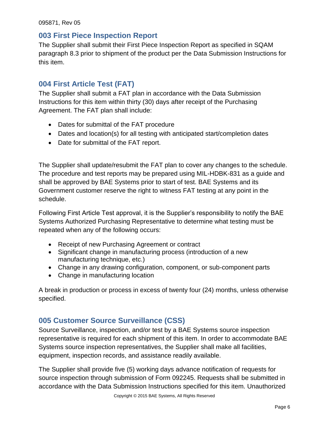#### <span id="page-5-0"></span>**003 First Piece Inspection Report**

The Supplier shall submit their First Piece Inspection Report as specified in SQAM paragraph 8.3 prior to shipment of the product per the Data Submission Instructions for this item.

## <span id="page-5-1"></span>**004 First Article Test (FAT)**

The Supplier shall submit a FAT plan in accordance with the Data Submission Instructions for this item within thirty (30) days after receipt of the Purchasing Agreement. The FAT plan shall include:

- Dates for submittal of the FAT procedure
- Dates and location(s) for all testing with anticipated start/completion dates
- Date for submittal of the FAT report.

The Supplier shall update/resubmit the FAT plan to cover any changes to the schedule. The procedure and test reports may be prepared using MIL-HDBK-831 as a guide and shall be approved by BAE Systems prior to start of test. BAE Systems and its Government customer reserve the right to witness FAT testing at any point in the schedule.

Following First Article Test approval, it is the Supplier's responsibility to notify the BAE Systems Authorized Purchasing Representative to determine what testing must be repeated when any of the following occurs:

- Receipt of new Purchasing Agreement or contract
- Significant change in manufacturing process (introduction of a new manufacturing technique, etc.)
- Change in any drawing configuration, component, or sub-component parts
- Change in manufacturing location

A break in production or process in excess of twenty four (24) months, unless otherwise specified.

# <span id="page-5-2"></span>**005 Customer Source Surveillance (CSS)**

Source Surveillance, inspection, and/or test by a BAE Systems source inspection representative is required for each shipment of this item. In order to accommodate BAE Systems source inspection representatives, the Supplier shall make all facilities, equipment, inspection records, and assistance readily available.

The Supplier shall provide five (5) working days advance notification of requests for source inspection through submission of Form 092245. Requests shall be submitted in accordance with the Data Submission Instructions specified for this item. Unauthorized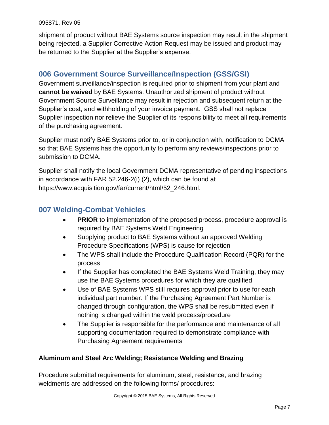shipment of product without BAE Systems source inspection may result in the shipment being rejected, a Supplier Corrective Action Request may be issued and product may be returned to the Supplier at the Supplier's expense.

## <span id="page-6-0"></span>**006 Government Source Surveillance/Inspection (GSS/GSI)**

Government surveillance/inspection is required prior to shipment from your plant and **cannot be waived** by BAE Systems. Unauthorized shipment of product without Government Source Surveillance may result in rejection and subsequent return at the Supplier's cost, and withholding of your invoice payment. GSS shall not replace Supplier inspection nor relieve the Supplier of its responsibility to meet all requirements of the purchasing agreement.

Supplier must notify BAE Systems prior to, or in conjunction with, notification to DCMA so that BAE Systems has the opportunity to perform any reviews/inspections prior to submission to DCMA.

Supplier shall notify the local Government DCMA representative of pending inspections in accordance with FAR 52.246-2(i) (2), which can be found at [https://www.acquisition.gov/far/current/html/52\\_246.html.](https://www.acquisition.gov/far/current/html/52_246.html)

## <span id="page-6-1"></span>**007 Welding-Combat Vehicles**

- **PRIOR** to implementation of the proposed process, procedure approval is required by BAE Systems Weld Engineering
- Supplying product to BAE Systems without an approved Welding Procedure Specifications (WPS) is cause for rejection
- The WPS shall include the Procedure Qualification Record (PQR) for the process
- If the Supplier has completed the BAE Systems Weld Training, they may use the BAE Systems procedures for which they are qualified
- Use of BAE Systems WPS still requires approval prior to use for each individual part number. If the Purchasing Agreement Part Number is changed through configuration, the WPS shall be resubmitted even if nothing is changed within the weld process/procedure
- The Supplier is responsible for the performance and maintenance of all supporting documentation required to demonstrate compliance with Purchasing Agreement requirements

#### **Aluminum and Steel Arc Welding; Resistance Welding and Brazing**

Procedure submittal requirements for aluminum, steel, resistance, and brazing weldments are addressed on the following forms/ procedures: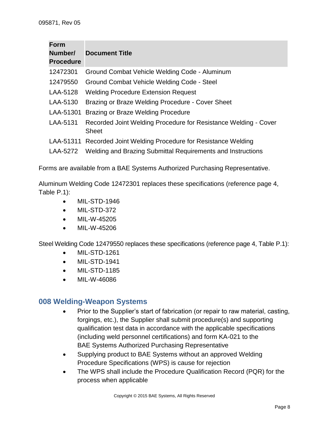| <b>Form</b><br>Number/<br><b>Procedure</b> | <b>Document Title</b>                                                           |
|--------------------------------------------|---------------------------------------------------------------------------------|
| 12472301                                   | Ground Combat Vehicle Welding Code - Aluminum                                   |
| 12479550                                   | Ground Combat Vehicle Welding Code - Steel                                      |
| LAA-5128                                   | <b>Welding Procedure Extension Request</b>                                      |
| LAA-5130                                   | Brazing or Braze Welding Procedure - Cover Sheet                                |
| LAA-51301                                  | <b>Brazing or Braze Welding Procedure</b>                                       |
| LAA-5131                                   | Recorded Joint Welding Procedure for Resistance Welding - Cover<br><b>Sheet</b> |
|                                            | LAA-51311 Recorded Joint Welding Procedure for Resistance Welding               |
| LAA-5272                                   | Welding and Brazing Submittal Requirements and Instructions                     |

Forms are available from a BAE Systems Authorized Purchasing Representative.

Aluminum Welding Code 12472301 replaces these specifications (reference page 4, Table P.1):

- MIL-STD-1946
- MIL-STD-372
- MIL-W-45205
- MIL-W-45206

Steel Welding Code 12479550 replaces these specifications (reference page 4, Table P.1):

- MIL-STD-1261
- MIL-STD-1941
- MIL-STD-1185
- MIL-W-46086

#### <span id="page-7-0"></span>**008 Welding-Weapon Systems**

- Prior to the Supplier's start of fabrication (or repair to raw material, casting, forgings, etc.), the Supplier shall submit procedure(s) and supporting qualification test data in accordance with the applicable specifications (including weld personnel certifications) and form KA-021 to the BAE Systems Authorized Purchasing Representative
- Supplying product to BAE Systems without an approved Welding Procedure Specifications (WPS) is cause for rejection
- The WPS shall include the Procedure Qualification Record (PQR) for the process when applicable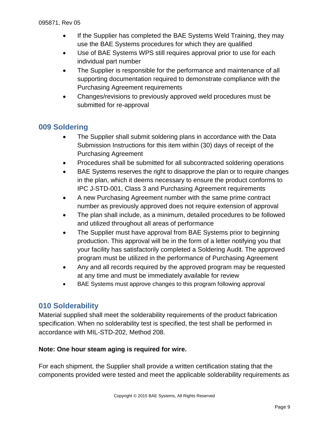- If the Supplier has completed the BAE Systems Weld Training, they may use the BAE Systems procedures for which they are qualified
- Use of BAE Systems WPS still requires approval prior to use for each individual part number
- The Supplier is responsible for the performance and maintenance of all supporting documentation required to demonstrate compliance with the Purchasing Agreement requirements
- Changes/revisions to previously approved weld procedures must be submitted for re-approval

## <span id="page-8-0"></span>**009 Soldering**

- The Supplier shall submit soldering plans in accordance with the Data Submission Instructions for this item within (30) days of receipt of the Purchasing Agreement
- Procedures shall be submitted for all subcontracted soldering operations
- BAE Systems reserves the right to disapprove the plan or to require changes in the plan, which it deems necessary to ensure the product conforms to IPC J-STD-001, Class 3 and Purchasing Agreement requirements
- A new Purchasing Agreement number with the same prime contract number as previously approved does not require extension of approval
- The plan shall include, as a minimum, detailed procedures to be followed and utilized throughout all areas of performance
- The Supplier must have approval from BAE Systems prior to beginning production. This approval will be in the form of a letter notifying you that your facility has satisfactorily completed a Soldering Audit. The approved program must be utilized in the performance of Purchasing Agreement
- Any and all records required by the approved program may be requested at any time and must be immediately available for review
- BAE Systems must approve changes to this program following approval

## <span id="page-8-1"></span>**010 Solderability**

Material supplied shall meet the solderability requirements of the product fabrication specification. When no solderability test is specified, the test shall be performed in accordance with MIL-STD-202, Method 208.

#### **Note: One hour steam aging is required for wire.**

For each shipment, the Supplier shall provide a written certification stating that the components provided were tested and meet the applicable solderability requirements as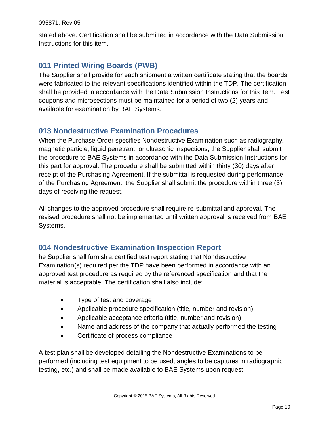stated above. Certification shall be submitted in accordance with the Data Submission Instructions for this item.

# <span id="page-9-0"></span>**011 Printed Wiring Boards (PWB)**

The Supplier shall provide for each shipment a written certificate stating that the boards were fabricated to the relevant specifications identified within the TDP. The certification shall be provided in accordance with the Data Submission Instructions for this item. Test coupons and microsections must be maintained for a period of two (2) years and available for examination by BAE Systems.

## <span id="page-9-1"></span>**013 Nondestructive Examination Procedures**

When the Purchase Order specifies Nondestructive Examination such as radiography, magnetic particle, liquid penetrant, or ultrasonic inspections, the Supplier shall submit the procedure to BAE Systems in accordance with the Data Submission Instructions for this part for approval. The procedure shall be submitted within thirty (30) days after receipt of the Purchasing Agreement. If the submittal is requested during performance of the Purchasing Agreement, the Supplier shall submit the procedure within three (3) days of receiving the request.

All changes to the approved procedure shall require re-submittal and approval. The revised procedure shall not be implemented until written approval is received from BAE Systems.

## <span id="page-9-2"></span>**014 Nondestructive Examination Inspection Report**

he Supplier shall furnish a certified test report stating that Nondestructive Examination(s) required per the TDP have been performed in accordance with an approved test procedure as required by the referenced specification and that the material is acceptable. The certification shall also include:

- Type of test and coverage
- Applicable procedure specification (title, number and revision)
- Applicable acceptance criteria (title, number and revision)
- Name and address of the company that actually performed the testing
- Certificate of process compliance

A test plan shall be developed detailing the Nondestructive Examinations to be performed (including test equipment to be used, angles to be captures in radiographic testing, etc.) and shall be made available to BAE Systems upon request.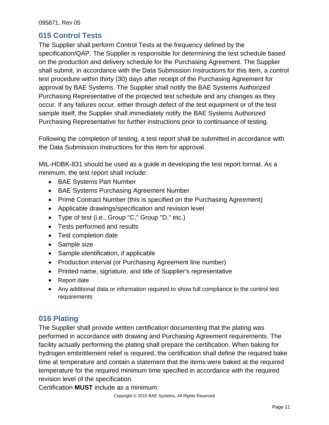#### <span id="page-10-0"></span>**015 Control Tests**

The Supplier shall perform Control Tests at the frequency defined by the specification/QAP. The Supplier is responsible for determining the test schedule based on the production and delivery schedule for the Purchasing Agreement. The Supplier shall submit, in accordance with the Data Submission Instructions for this item, a control test procedure within thirty (30) days after receipt of the Purchasing Agreement for approval by BAE Systems. The Supplier shall notify the BAE Systems Authorized Purchasing Representative of the projected test schedule and any changes as they occur. If any failures occur, either through defect of the test equipment or of the test sample itself, the Supplier shall immediately notify the BAE Systems Authorized Purchasing Representative for further instructions prior to continuance of testing.

Following the completion of testing, a test report shall be submitted in accordance with the Data Submission Instructions for this item for approval.

MIL-HDBK-831 should be used as a guide in developing the test report format. As a minimum, the test report shall include:

- BAE Systems Part Number
- BAE Systems Purchasing Agreement Number
- Prime Contract Number (this is specified on the Purchasing Agreement)
- Applicable drawings/specification and revision level
- Type of test (i.e., Group "C," Group "D," etc.)
- Tests performed and results
- Test completion date
- Sample size
- Sample identification, if applicable
- Production interval (or Purchasing Agreement line number)
- Printed name, signature, and title of Supplier's representative
- Report date
- Any additional data or information required to show full compliance to the control test requirements

## <span id="page-10-1"></span>**016 Plating**

The Supplier shall provide written certification documenting that the plating was performed in accordance with drawing and Purchasing Agreement requirements. The facility actually performing the plating shall prepare the certification. When baking for hydrogen embrittlement relief is required, the certification shall define the required bake time at temperature and contain a statement that the items were baked at the required temperature for the required minimum time specified in accordance with the required revision level of the specification.

Certification **MUST** include as a minimum: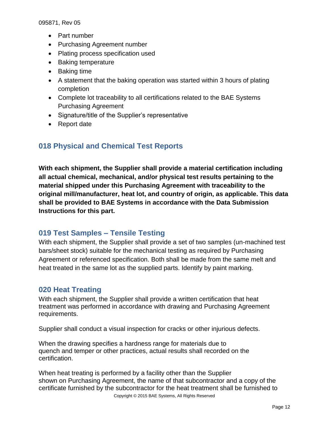- Part number
- Purchasing Agreement number
- Plating process specification used
- Baking temperature
- Baking time
- A statement that the baking operation was started within 3 hours of plating completion
- Complete lot traceability to all certifications related to the BAE Systems Purchasing Agreement
- Signature/title of the Supplier's representative
- Report date

## <span id="page-11-0"></span>**018 Physical and Chemical Test Reports**

**With each shipment, the Supplier shall provide a material certification including all actual chemical, mechanical, and/or physical test results pertaining to the material shipped under this Purchasing Agreement with traceability to the original mill/manufacturer, heat lot, and country of origin, as applicable. This data shall be provided to BAE Systems in accordance with the Data Submission Instructions for this part.**

#### <span id="page-11-1"></span>**019 Test Samples – Tensile Testing**

With each shipment, the Supplier shall provide a set of two samples (un-machined test bars/sheet stock) suitable for the mechanical testing as required by Purchasing Agreement or referenced specification. Both shall be made from the same melt and heat treated in the same lot as the supplied parts. Identify by paint marking.

#### <span id="page-11-2"></span>**020 Heat Treating**

With each shipment, the Supplier shall provide a written certification that heat treatment was performed in accordance with drawing and Purchasing Agreement requirements.

Supplier shall conduct a visual inspection for cracks or other injurious defects.

When the drawing specifies a hardness range for materials due to quench and temper or other practices, actual results shall recorded on the certification.

Copyright © 2015 BAE Systems, All Rights Reserved When heat treating is performed by a facility other than the Supplier shown on Purchasing Agreement, the name of that subcontractor and a copy of the certificate furnished by the subcontractor for the heat treatment shall be furnished to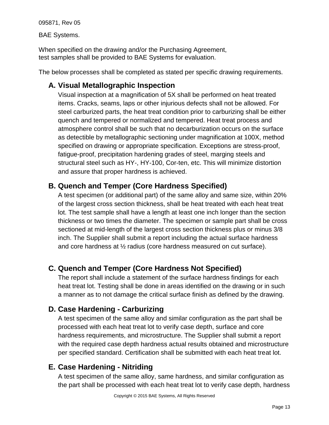BAE Systems.

When specified on the drawing and/or the Purchasing Agreement, test samples shall be provided to BAE Systems for evaluation.

<span id="page-12-0"></span>The below processes shall be completed as stated per specific drawing requirements.

# **A. Visual Metallographic Inspection**

Visual inspection at a magnification of 5X shall be performed on heat treated items. Cracks, seams, laps or other injurious defects shall not be allowed. For steel carburized parts, the heat treat condition prior to carburizing shall be either quench and tempered or normalized and tempered. Heat treat process and atmosphere control shall be such that no decarburization occurs on the surface as detectible by metallographic sectioning under magnification at 100X, method specified on drawing or appropriate specification. Exceptions are stress-proof, fatigue-proof, precipitation hardening grades of steel, marging steels and structural steel such as HY-, HY-100, Cor-ten, etc. This will minimize distortion and assure that proper hardness is achieved.

# <span id="page-12-1"></span>**B. Quench and Temper (Core Hardness Specified)**

A test specimen (or additional part) of the same alloy and same size, within 20% of the largest cross section thickness, shall be heat treated with each heat treat lot. The test sample shall have a length at least one inch longer than the section thickness or two times the diameter. The specimen or sample part shall be cross sectioned at mid-length of the largest cross section thickness plus or minus 3/8 inch. The Supplier shall submit a report including the actual surface hardness and core hardness at ½ radius (core hardness measured on cut surface).

# <span id="page-12-2"></span>**C. Quench and Temper (Core Hardness Not Specified)**

The report shall include a statement of the surface hardness findings for each heat treat lot. Testing shall be done in areas identified on the drawing or in such a manner as to not damage the critical surface finish as defined by the drawing.

# <span id="page-12-3"></span>**D. Case Hardening - Carburizing**

A test specimen of the same alloy and similar configuration as the part shall be processed with each heat treat lot to verify case depth, surface and core hardness requirements, and microstructure. The Supplier shall submit a report with the required case depth hardness actual results obtained and microstructure per specified standard. Certification shall be submitted with each heat treat lot.

# <span id="page-12-4"></span>**E. Case Hardening - Nitriding**

A test specimen of the same alloy, same hardness, and similar configuration as the part shall be processed with each heat treat lot to verify case depth, hardness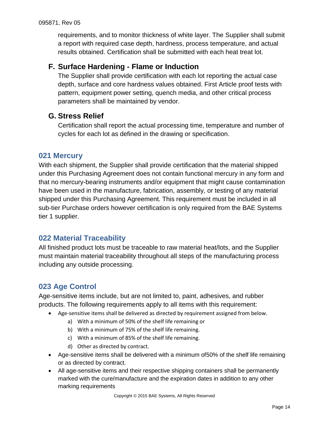requirements, and to monitor thickness of white layer. The Supplier shall submit a report with required case depth, hardness, process temperature, and actual results obtained. Certification shall be submitted with each heat treat lot.

## <span id="page-13-0"></span>**F. Surface Hardening - Flame or Induction**

The Supplier shall provide certification with each lot reporting the actual case depth, surface and core hardness values obtained. First Article proof tests with pattern, equipment power setting, quench media, and other critical process parameters shall be maintained by vendor.

#### <span id="page-13-1"></span>**G. Stress Relief**

Certification shall report the actual processing time, temperature and number of cycles for each lot as defined in the drawing or specification.

#### <span id="page-13-2"></span>**021 Mercury**

With each shipment, the Supplier shall provide certification that the material shipped under this Purchasing Agreement does not contain functional mercury in any form and that no mercury-bearing instruments and/or equipment that might cause contamination have been used in the manufacture, fabrication, assembly, or testing of any material shipped under this Purchasing Agreement. This requirement must be included in all sub-tier Purchase orders however certification is only required from the BAE Systems tier 1 supplier.

## <span id="page-13-3"></span>**022 Material Traceability**

All finished product lots must be traceable to raw material heat/lots, and the Supplier must maintain material traceability throughout all steps of the manufacturing process including any outside processing.

## <span id="page-13-4"></span>**023 Age Control**

Age-sensitive items include, but are not limited to, paint, adhesives, and rubber products. The following requirements apply to all items with this requirement:

- Age-sensitive items shall be delivered as directed by requirement assigned from below.
	- a) With a minimum of 50% of the shelf life remaining or
	- b) With a minimum of 75% of the shelf life remaining.
	- c) With a minimum of 85% of the shelf life remaining.
	- d) Other as directed by contract.
- Age-sensitive items shall be delivered with a minimum of50% of the shelf life remaining or as directed by contract.
- All age-sensitive items and their respective shipping containers shall be permanently marked with the cure/manufacture and the expiration dates in addition to any other marking requirements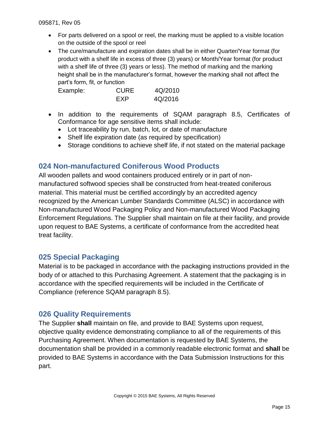- For parts delivered on a spool or reel, the marking must be applied to a visible location on the outside of the spool or reel
- The cure/manufacture and expiration dates shall be in either Quarter/Year format (for product with a shelf life in excess of three (3) years) or Month/Year format (for product with a shelf life of three (3) years or less). The method of marking and the marking height shall be in the manufacturer's format, however the marking shall not affect the part's form, fit, or function

| Example: | <b>CURE</b> | 4Q/2010 |
|----------|-------------|---------|
|          | <b>FXP</b>  | 4Q/2016 |

- In addition to the requirements of SQAM paragraph 8.5, Certificates of Conformance for age sensitive items shall include:
	- Lot traceability by run, batch, lot, or date of manufacture
	- Shelf life expiration date (as required by specification)
	- Storage conditions to achieve shelf life, if not stated on the material package

## <span id="page-14-0"></span>**024 Non-manufactured Coniferous Wood Products**

All wooden pallets and wood containers produced entirely or in part of nonmanufactured softwood species shall be constructed from heat-treated coniferous material. This material must be certified accordingly by an accredited agency recognized by the American Lumber Standards Committee (ALSC) in accordance with Non-manufactured Wood Packaging Policy and Non-manufactured Wood Packaging Enforcement Regulations. The Supplier shall maintain on file at their facility, and provide upon request to BAE Systems, a certificate of conformance from the accredited heat treat facility.

#### <span id="page-14-1"></span>**025 Special Packaging**

Material is to be packaged in accordance with the packaging instructions provided in the body of or attached to this Purchasing Agreement. A statement that the packaging is in accordance with the specified requirements will be included in the Certificate of Compliance (reference SQAM paragraph 8.5).

## <span id="page-14-2"></span>**026 Quality Requirements**

The Supplier **shall** maintain on file, and provide to BAE Systems upon request, objective quality evidence demonstrating compliance to all of the requirements of this Purchasing Agreement. When documentation is requested by BAE Systems, the documentation shall be provided in a commonly readable electronic format and **shall** be provided to BAE Systems in accordance with the Data Submission Instructions for this part.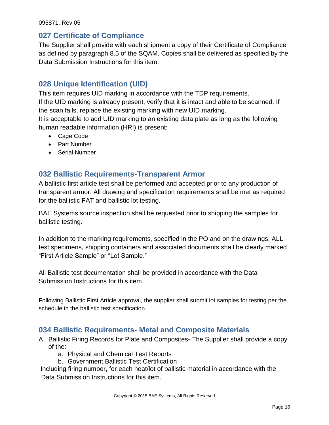#### <span id="page-15-0"></span>**027 Certificate of Compliance**

The Supplier shall provide with each shipment a copy of their Certificate of Compliance as defined by paragraph 8.5 of the SQAM. Copies shall be delivered as specified by the Data Submission Instructions for this item.

## <span id="page-15-1"></span>**028 Unique Identification (UID)**

This item requires UID marking in accordance with the TDP requirements. If the UID marking is already present, verify that it is intact and able to be scanned. If the scan fails, replace the existing marking with new UID marking. It is acceptable to add UID marking to an existing data plate as long as the following human readable information (HRI) is present:

- Cage Code
- Part Number
- Serial Number

## <span id="page-15-2"></span>**032 Ballistic Requirements-Transparent Armor**

A ballistic first article test shall be performed and accepted prior to any production of transparent armor. All drawing and specification requirements shall be met as required for the ballistic FAT and ballistic lot testing.

BAE Systems source inspection shall be requested prior to shipping the samples for ballistic testing.

In addition to the marking requirements, specified in the PO and on the drawings, ALL test specimens, shipping containers and associated documents shall be clearly marked "First Article Sample" or "Lot Sample."

All Ballistic test documentation shall be provided in accordance with the Data Submission Instructions for this item.

Following Ballistic First Article approval, the supplier shall submit lot samples for testing per the schedule in the ballistic test specification.

#### <span id="page-15-3"></span>**034 Ballistic Requirements- Metal and Composite Materials**

- A. Ballistic Firing Records for Plate and Composites- The Supplier shall provide a copy of the:
	- a. Physical and Chemical Test Reports
	- b. Government Ballistic Test Certification

Including firing number, for each heat/lot of ballistic material in accordance with the Data Submission Instructions for this item.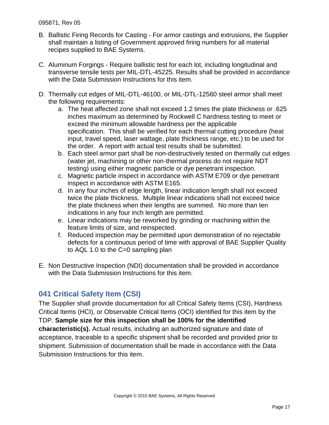- B. Ballistic Firing Records for Casting For armor castings and extrusions, the Supplier shall maintain a listing of Government approved firing numbers for all material recipes supplied to BAE Systems.
- C. Aluminum Forgings Require ballistic test for each lot, including longitudinal and transverse tensile tests per MIL-DTL-45225. Results shall be provided in accordance with the Data Submission Instructions for this item.
- D. Thermally cut edges of MIL-DTL-46100, or MIL-DTL-12560 steel armor shall meet the following requirements:
	- a. The heat affected zone shall not exceed 1.2 times the plate thickness or .625 inches maximum as determined by Rockwell C hardness testing to meet or exceed the minimum allowable hardness per the applicable specification. This shall be verified for each thermal cutting procedure (heat input, travel speed, laser wattage, plate thickness range, etc.) to be used for the order. A report with actual test results shall be submitted.
	- b. Each steel armor part shall be non-destructively tested on thermally cut edges (water jet, machining or other non-thermal process do not require NDT testing) using either magnetic particle or dye penetrant inspection.
	- c. Magnetic particle inspect in accordance with ASTM E709 or dye penetrant inspect in accordance with ASTM E165.
	- d. In any four inches of edge length, linear indication length shall not exceed twice the plate thickness. Multiple linear indications shall not exceed twice the plate thickness when their lengths are summed. No more than ten indications in any four inch length are permitted.
	- e. Linear indications may be reworked by grinding or machining within the feature limits of size, and reinspected.
	- f. Reduced inspection may be permitted upon demonstration of no rejectable defects for a continuous period of time with approval of BAE Supplier Quality to AQL 1.0 to the C=0 sampling plan
- E. Non Destructive Inspection (NDI) documentation shall be provided in accordance with the Data Submission Instructions for this item.

# <span id="page-16-0"></span>**041 Critical Safety Item (CSI)**

The Supplier shall provide documentation for all Critical Safety Items (CSI), Hardness Critical Items (HCI), or Observable Critical Items (OCI) identified for this item by the TDP. **Sample size for this inspection shall be 100% for the identified characteristic(s).** Actual results, including an authorized signature and date of acceptance, traceable to a specific shipment shall be recorded and provided prior to shipment. Submission of documentation shall be made in accordance with the Data Submission Instructions for this item.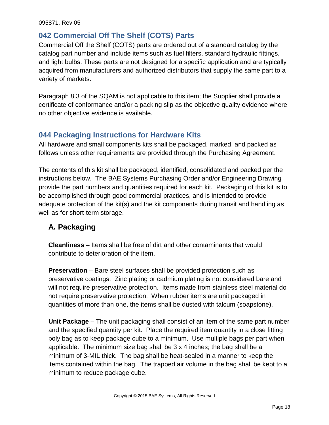## <span id="page-17-0"></span>**042 Commercial Off The Shelf (COTS) Parts**

Commercial Off the Shelf (COTS) parts are ordered out of a standard catalog by the catalog part number and include items such as fuel filters, standard hydraulic fittings, and light bulbs. These parts are not designed for a specific application and are typically acquired from manufacturers and authorized distributors that supply the same part to a variety of markets.

Paragraph 8.3 of the SQAM is not applicable to this item; the Supplier shall provide a certificate of conformance and/or a packing slip as the objective quality evidence where no other objective evidence is available.

# <span id="page-17-1"></span>**044 Packaging Instructions for Hardware Kits**

All hardware and small components kits shall be packaged, marked, and packed as follows unless other requirements are provided through the Purchasing Agreement.

The contents of this kit shall be packaged, identified, consolidated and packed per the instructions below. The BAE Systems Purchasing Order and/or Engineering Drawing provide the part numbers and quantities required for each kit. Packaging of this kit is to be accomplished through good commercial practices, and is intended to provide adequate protection of the kit(s) and the kit components during transit and handling as well as for short-term storage.

# <span id="page-17-2"></span>**A. Packaging**

**Cleanliness** – Items shall be free of dirt and other contaminants that would contribute to deterioration of the item.

**Preservation** – Bare steel surfaces shall be provided protection such as preservative coatings. Zinc plating or cadmium plating is not considered bare and will not require preservative protection. Items made from stainless steel material do not require preservative protection. When rubber items are unit packaged in quantities of more than one, the items shall be dusted with talcum (soapstone).

**Unit Package** – The unit packaging shall consist of an item of the same part number and the specified quantity per kit. Place the required item quantity in a close fitting poly bag as to keep package cube to a minimum. Use multiple bags per part when applicable. The minimum size bag shall be 3 x 4 inches; the bag shall be a minimum of 3-MIL thick. The bag shall be heat-sealed in a manner to keep the items contained within the bag. The trapped air volume in the bag shall be kept to a minimum to reduce package cube.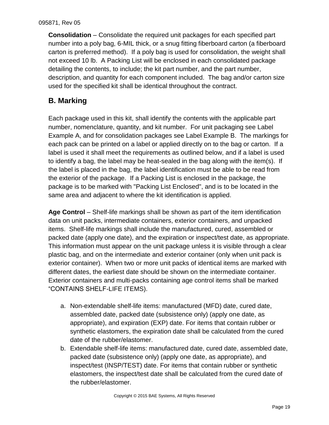**Consolidation** – Consolidate the required unit packages for each specified part number into a poly bag, 6-MIL thick, or a snug fitting fiberboard carton (a fiberboard carton is preferred method). If a poly bag is used for consolidation, the weight shall not exceed 10 lb. A Packing List will be enclosed in each consolidated package detailing the contents, to include; the kit part number, and the part number, description, and quantity for each component included. The bag and/or carton size used for the specified kit shall be identical throughout the contract.

# <span id="page-18-0"></span>**B. Marking**

Each package used in this kit, shall identify the contents with the applicable part number, nomenclature, quantity, and kit number. For unit packaging see Label Example A, and for consolidation packages see Label Example B. The markings for each pack can be printed on a label or applied directly on to the bag or carton. If a label is used it shall meet the requirements as outlined below, and if a label is used to identify a bag, the label may be heat-sealed in the bag along with the item(s). If the label is placed in the bag, the label identification must be able to be read from the exterior of the package. If a Packing List is enclosed in the package, the package is to be marked with "Packing List Enclosed", and is to be located in the same area and adjacent to where the kit identification is applied.

**Age Control** – Shelf-life markings shall be shown as part of the item identification data on unit packs, intermediate containers, exterior containers, and unpacked items. Shelf-life markings shall include the manufactured, cured, assembled or packed date (apply one date), and the expiration or inspect/test date, as appropriate. This information must appear on the unit package unless it is visible through a clear plastic bag, and on the intermediate and exterior container (only when unit pack is exterior container). When two or more unit packs of identical items are marked with different dates, the earliest date should be shown on the intermediate container. Exterior containers and multi-packs containing age control items shall be marked "CONTAINS SHELF-LIFE ITEMS).

- a. Non-extendable shelf-life items: manufactured (MFD) date, cured date, assembled date, packed date (subsistence only) (apply one date, as appropriate), and expiration (EXP) date. For items that contain rubber or synthetic elastomers, the expiration date shall be calculated from the cured date of the rubber/elastomer.
- b. Extendable shelf-life items: manufactured date, cured date, assembled date, packed date (subsistence only) (apply one date, as appropriate), and inspect/test (INSP/TEST) date. For items that contain rubber or synthetic elastomers, the inspect/test date shall be calculated from the cured date of the rubber/elastomer.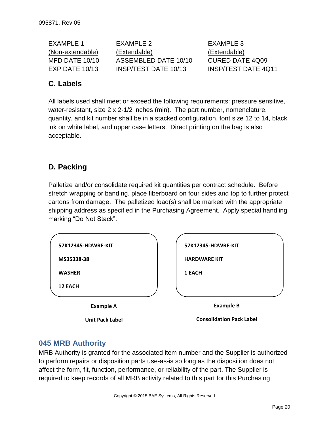EXAMPLE 1 EXAMPLE 2 EXAMPLE 3 (Non-extendable) (Extendable) (Extendable) MFD DATE 10/10 ASSEMBLED DATE 10/10 CURED DATE 4Q09 EXP DATE 10/13 INSP/TEST DATE 10/13 INSP/TEST DATE 4Q11

# <span id="page-19-0"></span>**C. Labels**

All labels used shall meet or exceed the following requirements: pressure sensitive, water-resistant, size 2 x 2-1/2 inches (min). The part number, nomenclature, quantity, and kit number shall be in a stacked configuration, font size 12 to 14, black ink on white label, and upper case letters. Direct printing on the bag is also acceptable.

# <span id="page-19-1"></span>**D. Packing**

Palletize and/or consolidate required kit quantities per contract schedule. Before stretch wrapping or banding, place fiberboard on four sides and top to further protect cartons from damage. The palletized load(s) shall be marked with the appropriate shipping address as specified in the Purchasing Agreement. Apply special handling marking "Do Not Stack".

## <span id="page-19-2"></span>**045 MRB Authority**

MRB Authority is granted for the associated item number and the Supplier is authorized to perform repairs or disposition parts use-as-is so long as the disposition does not affect the form, fit, function, performance, or reliability of the part. The Supplier is required to keep records of all MRB activity related to this part for this Purchasing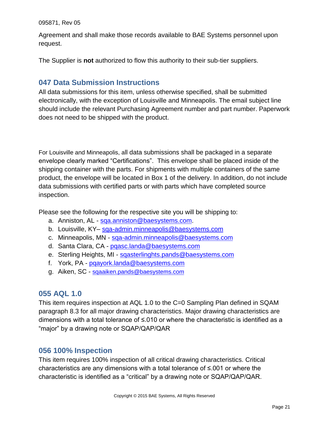Agreement and shall make those records available to BAE Systems personnel upon request.

<span id="page-20-0"></span>The Supplier is **not** authorized to flow this authority to their sub-tier suppliers.

## **047 Data Submission Instructions**

All data submissions for this item, unless otherwise specified, shall be submitted electronically, with the exception of Louisville and Minneapolis. The email subject line should include the relevant Purchasing Agreement number and part number. Paperwork does not need to be shipped with the product.

For Louisville and Minneapolis, all data submissions shall be packaged in a separate envelope clearly marked "Certifications". This envelope shall be placed inside of the shipping container with the parts. For shipments with multiple containers of the same product, the envelope will be located in Box 1 of the delivery. In addition, do not include data submissions with certified parts or with parts which have completed source inspection.

Please see the following for the respective site you will be shipping to:

- a. Anniston, AL [sqa.anniston@baesystems.com.](mailto:sqa.anniston@baesystems.com)
- b. Louisville, KY– [sqa-admin.minneapolis@baesystems.com](mailto:sqa-admin.minneapolis@baesystems.com)
- c. Minneapolis, MN [sqa-admin.minneapolis@baesystems.com](mailto:sqa-admin.minneapolis@baesystems.com)
- d. Santa Clara, CA [pqasc.landa@baesystems.com](mailto:pqasc.landa@baesystems.com)
- e. Sterling Heights, MI [sqasterlinghts.pands@baesystems.com](mailto:sqasterlinghts.pands@baesystems.com)
- f. York, PA [pqayork.landa@baesystems.com](mailto:pqayork.landa@baesystems.com)
- <span id="page-20-1"></span>g. Aiken, SC - [sqaaiken.pands@baesystems.com](mailto:sqaaiken.pands@baesystems.com)

#### **055 AQL 1.0**

This item requires inspection at AQL 1.0 to the C=0 Sampling Plan defined in SQAM paragraph 8.3 for all major drawing characteristics. Major drawing characteristics are dimensions with a total tolerance of ≤.010 or where the characteristic is identified as a "major" by a drawing note or SQAP/QAP/QAR

#### <span id="page-20-2"></span>**056 100% Inspection**

This item requires 100% inspection of all critical drawing characteristics. Critical characteristics are any dimensions with a total tolerance of ≤.001 or where the characteristic is identified as a "critical" by a drawing note or SQAP/QAP/QAR.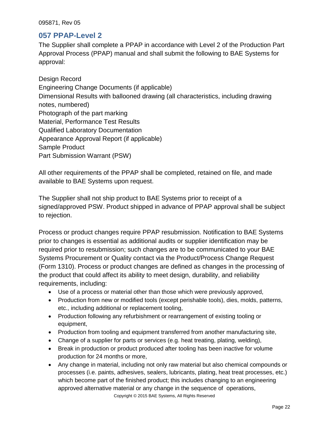#### <span id="page-21-0"></span>**057 PPAP-Level 2**

The Supplier shall complete a PPAP in accordance with Level 2 of the Production Part Approval Process (PPAP) manual and shall submit the following to BAE Systems for approval:

Design Record Engineering Change Documents (if applicable) Dimensional Results with ballooned drawing (all characteristics, including drawing notes, numbered) Photograph of the part marking Material, Performance Test Results Qualified Laboratory Documentation Appearance Approval Report (if applicable) Sample Product Part Submission Warrant (PSW)

All other requirements of the PPAP shall be completed, retained on file, and made available to BAE Systems upon request.

The Supplier shall not ship product to BAE Systems prior to receipt of a signed/approved PSW. Product shipped in advance of PPAP approval shall be subject to rejection.

Process or product changes require PPAP resubmission. Notification to BAE Systems prior to changes is essential as additional audits or supplier identification may be required prior to resubmission; such changes are to be communicated to your BAE Systems Procurement or Quality contact via the Product/Process Change Request (Form 1310). Process or product changes are defined as changes in the processing of the product that could affect its ability to meet design, durability, and reliability requirements, including:

- Use of a process or material other than those which were previously approved,
- Production from new or modified tools (except perishable tools), dies, molds, patterns, etc., including additional or replacement tooling,
- Production following any refurbishment or rearrangement of existing tooling or equipment,
- Production from tooling and equipment transferred from another manufacturing site,
- Change of a supplier for parts or services (e.g. heat treating, plating, welding),
- Break in production or product produced after tooling has been inactive for volume production for 24 months or more,
- Copyright © 2015 BAE Systems, All Rights Reserved Any change in material, including not only raw material but also chemical compounds or processes (i.e. paints, adhesives, sealers, lubricants, plating, heat treat processes, etc.) which become part of the finished product; this includes changing to an engineering approved alternative material or any change in the sequence of operations,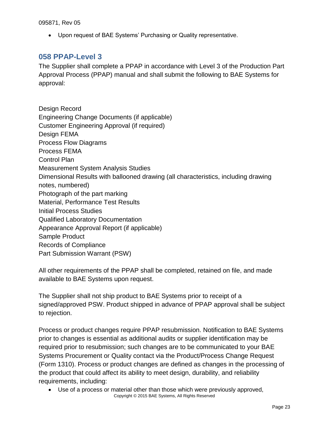Upon request of BAE Systems' Purchasing or Quality representative.

#### <span id="page-22-0"></span>**058 PPAP-Level 3**

The Supplier shall complete a PPAP in accordance with Level 3 of the Production Part Approval Process (PPAP) manual and shall submit the following to BAE Systems for approval:

Design Record Engineering Change Documents (if applicable) Customer Engineering Approval (if required) Design FEMA Process Flow Diagrams Process FEMA Control Plan Measurement System Analysis Studies Dimensional Results with ballooned drawing (all characteristics, including drawing notes, numbered) Photograph of the part marking Material, Performance Test Results Initial Process Studies Qualified Laboratory Documentation Appearance Approval Report (if applicable) Sample Product Records of Compliance Part Submission Warrant (PSW)

All other requirements of the PPAP shall be completed, retained on file, and made available to BAE Systems upon request.

The Supplier shall not ship product to BAE Systems prior to receipt of a signed/approved PSW. Product shipped in advance of PPAP approval shall be subject to rejection.

Process or product changes require PPAP resubmission. Notification to BAE Systems prior to changes is essential as additional audits or supplier identification may be required prior to resubmission; such changes are to be communicated to your BAE Systems Procurement or Quality contact via the Product/Process Change Request (Form 1310). Process or product changes are defined as changes in the processing of the product that could affect its ability to meet design, durability, and reliability requirements, including:

Copyright © 2015 BAE Systems, All Rights Reserved Use of a process or material other than those which were previously approved,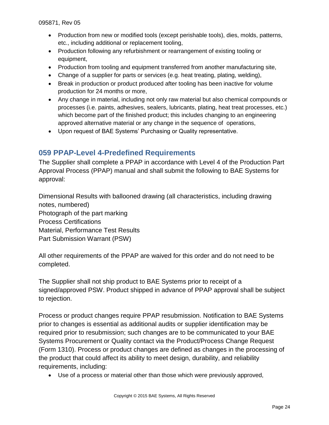- Production from new or modified tools (except perishable tools), dies, molds, patterns, etc., including additional or replacement tooling,
- Production following any refurbishment or rearrangement of existing tooling or equipment,
- Production from tooling and equipment transferred from another manufacturing site,
- Change of a supplier for parts or services (e.g. heat treating, plating, welding),
- Break in production or product produced after tooling has been inactive for volume production for 24 months or more,
- Any change in material, including not only raw material but also chemical compounds or processes (i.e. paints, adhesives, sealers, lubricants, plating, heat treat processes, etc.) which become part of the finished product; this includes changing to an engineering approved alternative material or any change in the sequence of operations,
- Upon request of BAE Systems' Purchasing or Quality representative.

## <span id="page-23-0"></span>**059 PPAP-Level 4-Predefined Requirements**

The Supplier shall complete a PPAP in accordance with Level 4 of the Production Part Approval Process (PPAP) manual and shall submit the following to BAE Systems for approval:

Dimensional Results with ballooned drawing (all characteristics, including drawing notes, numbered) Photograph of the part marking Process Certifications Material, Performance Test Results Part Submission Warrant (PSW)

All other requirements of the PPAP are waived for this order and do not need to be completed.

The Supplier shall not ship product to BAE Systems prior to receipt of a signed/approved PSW. Product shipped in advance of PPAP approval shall be subject to rejection.

Process or product changes require PPAP resubmission. Notification to BAE Systems prior to changes is essential as additional audits or supplier identification may be required prior to resubmission; such changes are to be communicated to your BAE Systems Procurement or Quality contact via the Product/Process Change Request (Form 1310). Process or product changes are defined as changes in the processing of the product that could affect its ability to meet design, durability, and reliability requirements, including:

Use of a process or material other than those which were previously approved,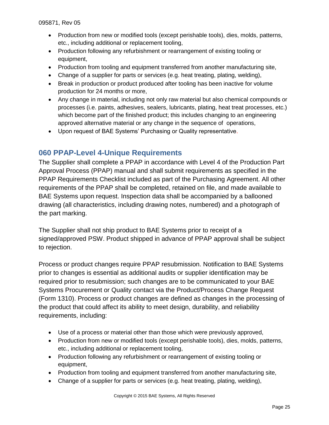- Production from new or modified tools (except perishable tools), dies, molds, patterns, etc., including additional or replacement tooling,
- Production following any refurbishment or rearrangement of existing tooling or equipment,
- Production from tooling and equipment transferred from another manufacturing site,
- Change of a supplier for parts or services (e.g. heat treating, plating, welding),
- Break in production or product produced after tooling has been inactive for volume production for 24 months or more,
- Any change in material, including not only raw material but also chemical compounds or processes (i.e. paints, adhesives, sealers, lubricants, plating, heat treat processes, etc.) which become part of the finished product; this includes changing to an engineering approved alternative material or any change in the sequence of operations,
- Upon request of BAE Systems' Purchasing or Quality representative.

## <span id="page-24-0"></span>**060 PPAP-Level 4-Unique Requirements**

The Supplier shall complete a PPAP in accordance with Level 4 of the Production Part Approval Process (PPAP) manual and shall submit requirements as specified in the PPAP Requirements Checklist included as part of the Purchasing Agreement. All other requirements of the PPAP shall be completed, retained on file, and made available to BAE Systems upon request. Inspection data shall be accompanied by a ballooned drawing (all characteristics, including drawing notes, numbered) and a photograph of the part marking.

The Supplier shall not ship product to BAE Systems prior to receipt of a signed/approved PSW. Product shipped in advance of PPAP approval shall be subject to rejection.

Process or product changes require PPAP resubmission. Notification to BAE Systems prior to changes is essential as additional audits or supplier identification may be required prior to resubmission; such changes are to be communicated to your BAE Systems Procurement or Quality contact via the Product/Process Change Request (Form 1310). Process or product changes are defined as changes in the processing of the product that could affect its ability to meet design, durability, and reliability requirements, including:

- Use of a process or material other than those which were previously approved,
- Production from new or modified tools (except perishable tools), dies, molds, patterns, etc., including additional or replacement tooling,
- Production following any refurbishment or rearrangement of existing tooling or equipment,
- Production from tooling and equipment transferred from another manufacturing site,
- Change of a supplier for parts or services (e.g. heat treating, plating, welding),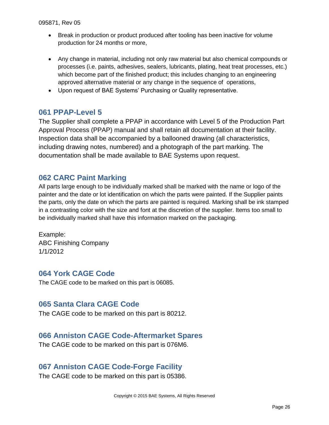- Break in production or product produced after tooling has been inactive for volume production for 24 months or more,
- Any change in material, including not only raw material but also chemical compounds or processes (i.e. paints, adhesives, sealers, lubricants, plating, heat treat processes, etc.) which become part of the finished product; this includes changing to an engineering approved alternative material or any change in the sequence of operations,
- Upon request of BAE Systems' Purchasing or Quality representative.

#### <span id="page-25-0"></span>**061 PPAP-Level 5**

The Supplier shall complete a PPAP in accordance with Level 5 of the Production Part Approval Process (PPAP) manual and shall retain all documentation at their facility. Inspection data shall be accompanied by a ballooned drawing (all characteristics, including drawing notes, numbered) and a photograph of the part marking. The documentation shall be made available to BAE Systems upon request.

#### <span id="page-25-1"></span>**062 CARC Paint Marking**

All parts large enough to be individually marked shall be marked with the name or logo of the painter and the date or lot identification on which the parts were painted. If the Supplier paints the parts, only the date on which the parts are painted is required. Marking shall be ink stamped in a contrasting color with the size and font at the discretion of the supplier. Items too small to be individually marked shall have this information marked on the packaging.

Example: ABC Finishing Company 1/1/2012

#### <span id="page-25-2"></span>**064 York CAGE Code**

<span id="page-25-3"></span>The CAGE code to be marked on this part is 06085.

#### **065 Santa Clara CAGE Code**

<span id="page-25-4"></span>The CAGE code to be marked on this part is 80212.

#### **066 Anniston CAGE Code-Aftermarket Spares**

<span id="page-25-5"></span>The CAGE code to be marked on this part is 076M6.

#### **067 Anniston CAGE Code-Forge Facility**

The CAGE code to be marked on this part is 05386.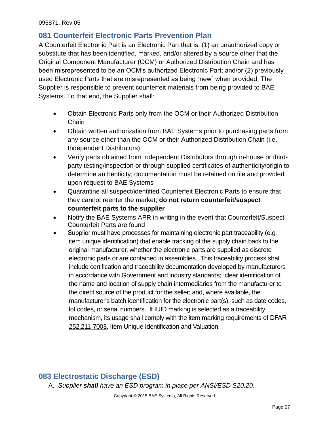## <span id="page-26-0"></span>**081 Counterfeit Electronic Parts Prevention Plan**

A Counterfeit Electronic Part is an Electronic Part that is: (1) an unauthorized copy or substitute that has been identified, marked, and/or altered by a source other that the Original Component Manufacturer (OCM) or Authorized Distribution Chain and has been misrepresented to be an OCM's authorized Electronic Part; and/or (2) previously used Electronic Parts that are misrepresented as being "new" when provided. The Supplier is responsible to prevent counterfeit materials from being provided to BAE Systems. To that end, the Supplier shall:

- Obtain Electronic Parts only from the OCM or their Authorized Distribution **Chain**
- Obtain written authorization from BAE Systems prior to purchasing parts from any source other than the OCM or their Authorized Distribution Chain (i.e. Independent Distributors)
- Verify parts obtained from Independent Distributors through in-house or thirdparty testing/inspection or through supplied certificates of authenticity/origin to determine authenticity; documentation must be retained on file and provided upon request to BAE Systems
- Quarantine all suspect/identified Counterfeit Electronic Parts to ensure that they cannot reenter the market; **do not return counterfeit/suspect counterfeit parts to the supplier**
- Notify the BAE Systems APR in writing in the event that Counterfeit/Suspect Counterfeit Parts are found
- Supplier must have processes for maintaining electronic part traceability (e.g*.*, item unique identification) that enable tracking of the supply chain back to the original manufacturer, whether the electronic parts are supplied as discrete electronic parts or are contained in assemblies. This traceability process shall include certification and traceability documentation developed by manufacturers in accordance with Government and industry standards; clear identification of the name and location of supply chain intermediaries from the manufacturer to the direct source of the product for the seller; and, where available, the manufacturer's batch identification for the electronic part(s), such as date codes, lot codes, or serial numbers. If IUID marking is selected as a traceability mechanism, its usage shall comply with the item marking requirements of DFAR [252.211-7003,](http://www.acq.osd.mil/dpap/dars/dfars/html/current/252211.htm#252.211-7003) Item Unique Identification and Valuation.

# <span id="page-26-1"></span>**083 Electrostatic Discharge (ESD)**

A. *Supplier shall have an ESD program in place per ANSI/ESD S20.20.*